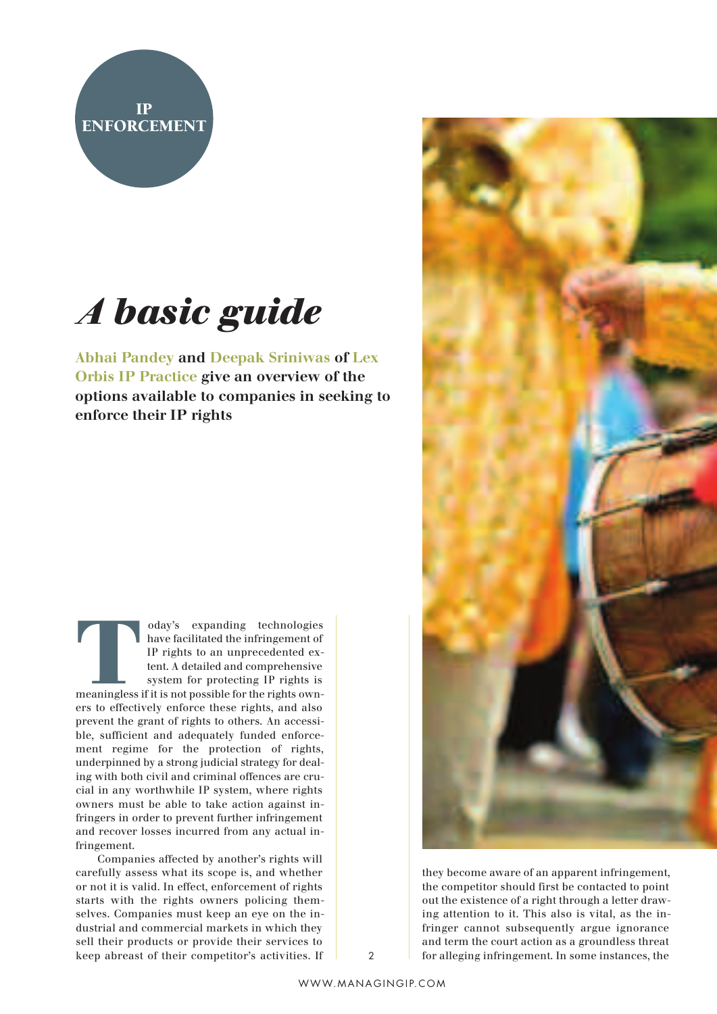

## *A basic guide*

**Abhai Pandey and Deepak Sriniwas of Lex Orbis IP Practice give an overview of the options available to companies in seeking to enforce their IP rights**

Today's expanding technologies<br>have facilitated the infringement of<br>IP rights to an unprecedented ex-<br>tent. A detailed and comprehensive<br>system for protecting IP rights is<br>meaningless if it is not possible for the rights o have facilitated the infringement of IP rights to an unprecedented extent. A detailed and comprehensive system for protecting IP rights is ers to effectively enforce these rights, and also prevent the grant of rights to others. An accessible, sufficient and adequately funded enforcement regime for the protection of rights, underpinned by a strong judicial strategy for dealing with both civil and criminal offences are crucial in any worthwhile IP system, where rights owners must be able to take action against infringers in order to prevent further infringement and recover losses incurred from any actual infringement.

Companies affected by another's rights will carefully assess what its scope is, and whether or not it is valid. In effect, enforcement of rights starts with the rights owners policing themselves. Companies must keep an eye on the industrial and commercial markets in which they sell their products or provide their services to keep abreast of their competitor's activities. If



they become aware of an apparent infringement, the competitor should first be contacted to point out the existence of a right through a letter drawing attention to it. This also is vital, as the infringer cannot subsequently argue ignorance and term the court action as a groundless threat 2 for alleging infringement. In some instances, the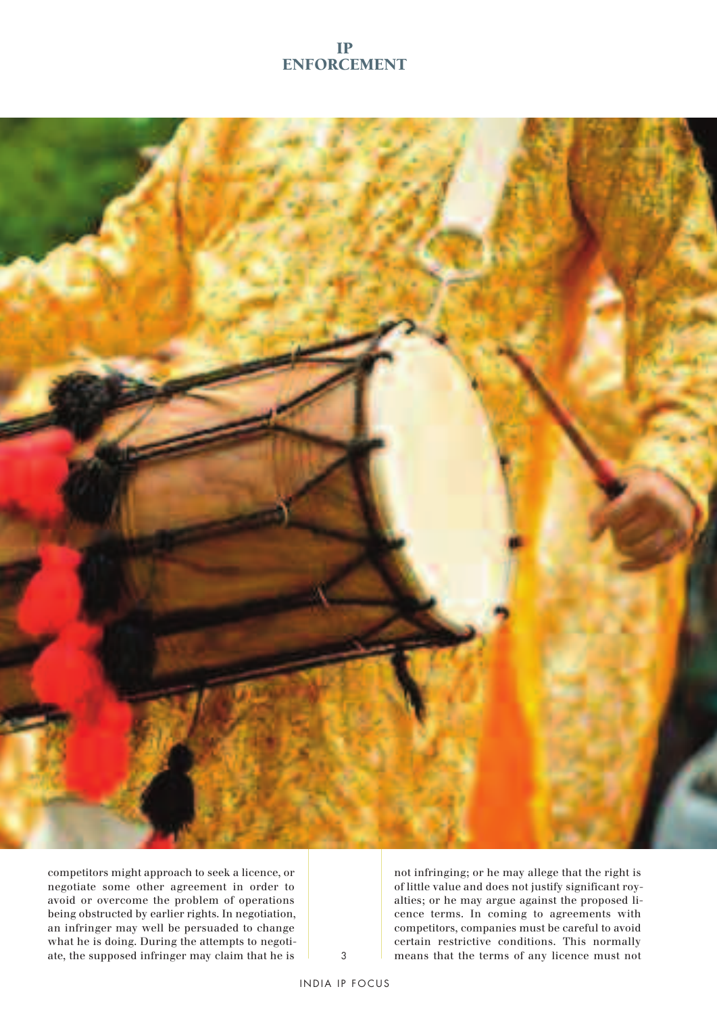## **IP ENFORCEMENT**



competitors might approach to seek a licence, or negotiate some other agreement in order to avoid or overcome the problem of operations being obstructed by earlier rights. In negotiation, an infringer may well be persuaded to change what he is doing. During the attempts to negotiate, the supposed infringer may claim that he is

not infringing; or he may allege that the right is of little value and does not justify significant royalties; or he may argue against the proposed licence terms. In coming to agreements with competitors, companies must be careful to avoid certain restrictive conditions. This normally 3 means that the terms of any licence must not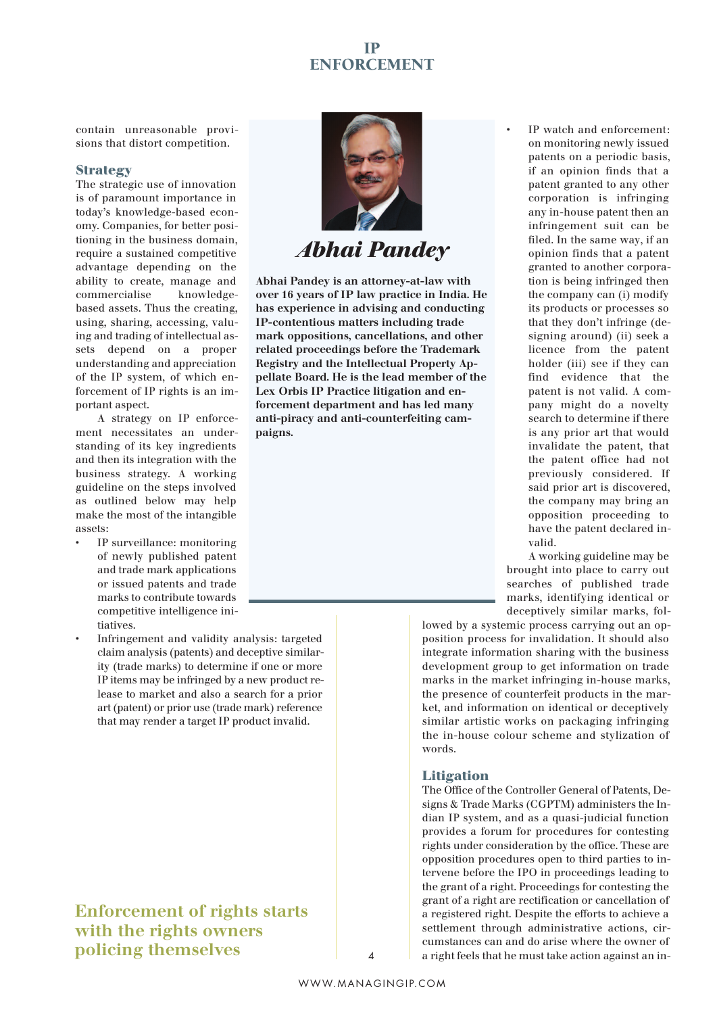## **IP ENFORCEMENT**

contain unreasonable provisions that distort competition.

#### **Strategy**

The strategic use of innovation is of paramount importance in today's knowledge-based economy. Companies, for better positioning in the business domain, require a sustained competitive advantage depending on the ability to create, manage and commercialise knowledgebased assets. Thus the creating, using, sharing, accessing, valuing and trading of intellectual assets depend on a proper understanding and appreciation of the IP system, of which enforcement of IP rights is an important aspect.

A strategy on IP enforcement necessitates an understanding of its key ingredients and then its integration with the business strategy. A working guideline on the steps involved as outlined below may help make the most of the intangible assets:

- IP surveillance: monitoring of newly published patent and trade mark applications or issued patents and trade marks to contribute towards competitive intelligence initiatives.
- Infringement and validity analysis: targeted claim analysis (patents) and deceptive similarity (trade marks) to determine if one or more IP items may be infringed by a new product release to market and also a search for a prior art (patent) or prior use (trade mark) reference that may render a target IP product invalid.

## **Enforcement of rights starts with the rights owners policing themselves**



*Abhai Pandey*

**Abhai Pandey is an attorney-at-law with over 16 years of IP law practice in India. He has experience in advising and conducting IP-contentious matters including trade mark oppositions, cancellations, and other related proceedings before the Trademark Registry and the Intellectual Property Appellate Board. He is the lead member of the Lex Orbis IP Practice litigation and enforcement department and has led many anti-piracy and anti-counterfeiting campaigns.**

IP watch and enforcement: on monitoring newly issued patents on a periodic basis, if an opinion finds that a patent granted to any other corporation is infringing any in-house patent then an infringement suit can be filed. In the same way, if an opinion finds that a patent granted to another corporation is being infringed then the company can (i) modify its products or processes so that they don't infringe (designing around) (ii) seek a licence from the patent holder (iii) see if they can find evidence that the patent is not valid. A company might do a novelty search to determine if there is any prior art that would invalidate the patent, that the patent office had not previously considered. If said prior art is discovered, the company may bring an opposition proceeding to have the patent declared invalid.

A working guideline may be brought into place to carry out searches of published trade marks, identifying identical or deceptively similar marks, fol-

lowed by a systemic process carrying out an opposition process for invalidation. It should also integrate information sharing with the business development group to get information on trade marks in the market infringing in-house marks, the presence of counterfeit products in the market, and information on identical or deceptively similar artistic works on packaging infringing the in-house colour scheme and stylization of words.

## **Litigation**

The Office of the Controller General of Patents, Designs & Trade Marks (CGPTM) administers the Indian IP system, and as a quasi-judicial function provides a forum for procedures for contesting rights under consideration by the office. These are opposition procedures open to third parties to intervene before the IPO in proceedings leading to the grant of a right. Proceedings for contesting the grant of a right are rectification or cancellation of a registered right. Despite the efforts to achieve a settlement through administrative actions, circumstances can and do arise where the owner of 4 a right feels that he must take action against an in-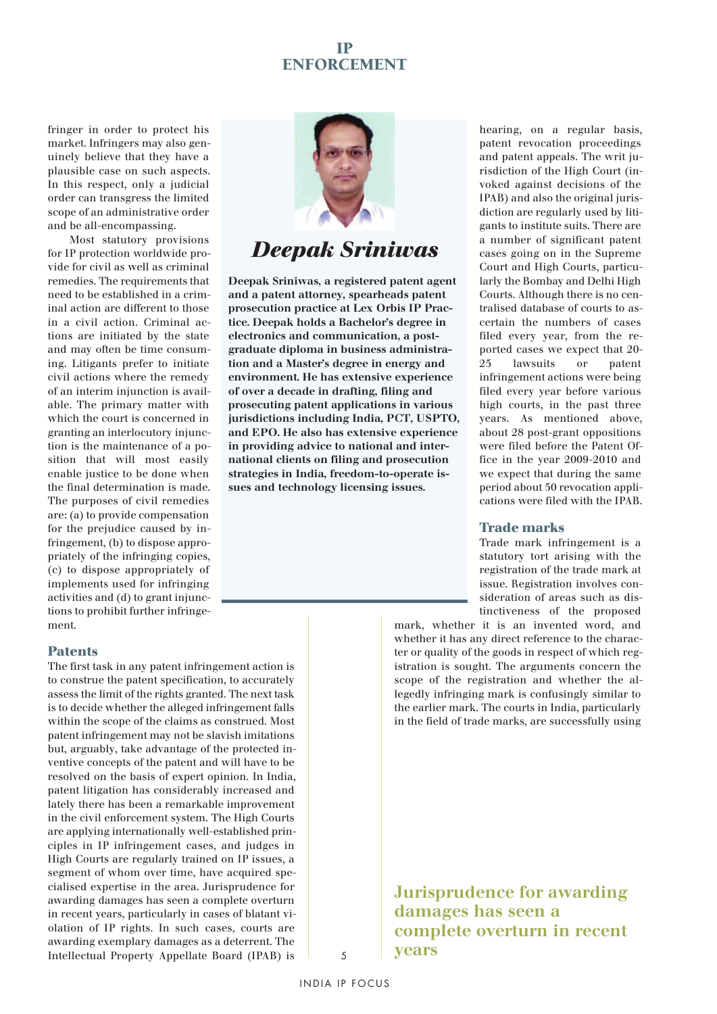## **IP ENFORCEMENT**

fringer in order to protect his market. Infringers may also genuinely believe that they have a plausible case on such aspects. In this respect, only a judicial order can transgress the limited scope of an administrative order and be all-encompassing.

Most statutory provisions for IP protection worldwide provide for civil as well as criminal remedies. The requirements that need to be established in a criminal action are different to those in a civil action. Criminal actions are initiated by the state and may often be time consuming. Litigants prefer to initiate civil actions where the remedy of an interim injunction is available. The primary matter with which the court is concerned in granting an interlocutory injunction is the maintenance of a position that will most easily enable justice to be done when the final determination is made. The purposes of civil remedies are: (a) to provide compensation for the prejudice caused by infringement, (b) to dispose appropriately of the infringing copies, (c) to dispose appropriately of implements used for infringing activities and (d) to grant injunctions to prohibit further infringement.



## *Deepak Sriniwas*

**Deepak Sriniwas, a registered patent agent and a patent attorney, spearheads patent prosecution practice at Lex Orbis IP Practice. Deepak holds a Bachelor's degree in electronics and communication, a postgraduate diploma in business administration and a Master's degree in energy and environment. He has extensive experience of over a decade in drafting, filing and prosecuting patent applications in various jurisdictions including India, PCT, USPTO, and EPO. He also has extensive experience in providing advice to national and international clients on filing and prosecution strategies in India, freedom-to-operate issues and technology licensing issues.**

### **Patents**

The first task in any patent infringement action is to construe the patent specification, to accurately assess the limit of the rights granted. The next task is to decide whether the alleged infringement falls within the scope of the claims as construed. Most patent infringement may not be slavish imitations but, arguably, take advantage of the protected inventive concepts of the patent and will have to be resolved on the basis of expert opinion. In India, patent litigation has considerably increased and lately there has been a remarkable improvement in the civil enforcement system. The High Courts are applying internationally well-established principles in IP infringement cases, and judges in High Courts are regularly trained on IP issues, a segment of whom over time, have acquired specialised expertise in the area. Jurisprudence for awarding damages has seen a complete overturn in recent years, particularly in cases of blatant violation of IP rights. In such cases, courts are awarding exemplary damages as a deterrent. The Intellectual Property Appellate Board (IPAB) is

hearing, on a regular basis, patent revocation proceedings and patent appeals. The writ jurisdiction of the High Court (invoked against decisions of the IPAB) and also the original jurisdiction are regularly used by litigants to institute suits. There are a number of significant patent cases going on in the Supreme Court and High Courts, particularly the Bombay and Delhi High Courts. Although there is no centralised database of courts to ascertain the numbers of cases filed every year, from the reported cases we expect that 20- 25 lawsuits or patent infringement actions were being filed every year before various high courts, in the past three years. As mentioned above, about 28 post-grant oppositions were filed before the Patent Office in the year 2009-2010 and we expect that during the same period about 50 revocation applications were filed with the IPAB.

#### **Trade marks**

Trade mark infringement is a statutory tort arising with the registration of the trade mark at issue. Registration involves consideration of areas such as distinctiveness of the proposed

mark, whether it is an invented word, and whether it has any direct reference to the character or quality of the goods in respect of which registration is sought. The arguments concern the scope of the registration and whether the allegedly infringing mark is confusingly similar to the earlier mark. The courts in India, particularly in the field of trade marks, are successfully using

**Jurisprudence for awarding damages has seen a complete overturn in recent years**

5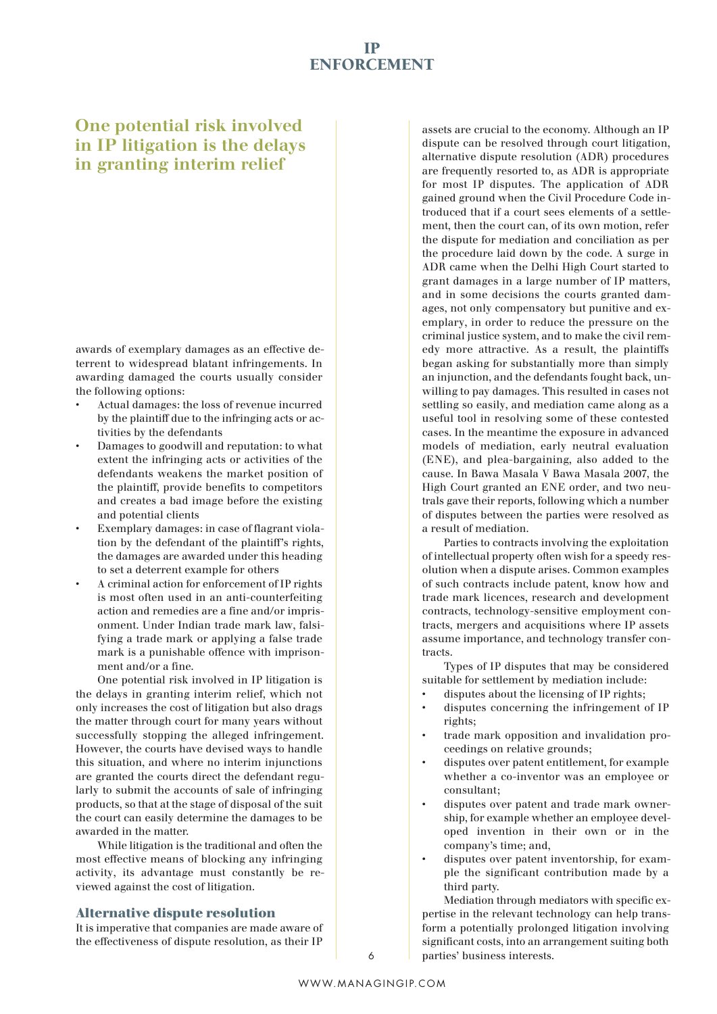## **One potential risk involved in IP litigation is the delays in granting interim relief**

awards of exemplary damages as an effective deterrent to widespread blatant infringements. In awarding damaged the courts usually consider the following options:

- Actual damages: the loss of revenue incurred by the plaintiff due to the infringing acts or activities by the defendants
- Damages to goodwill and reputation: to what extent the infringing acts or activities of the defendants weakens the market position of the plaintiff, provide benefits to competitors and creates a bad image before the existing and potential clients
- Exemplary damages: in case of flagrant violation by the defendant of the plaintiff's rights, the damages are awarded under this heading to set a deterrent example for others
- A criminal action for enforcement of IP rights is most often used in an anti-counterfeiting action and remedies are a fine and/or imprisonment. Under Indian trade mark law, falsifying a trade mark or applying a false trade mark is a punishable offence with imprisonment and/or a fine.

One potential risk involved in IP litigation is the delays in granting interim relief, which not only increases the cost of litigation but also drags the matter through court for many years without successfully stopping the alleged infringement. However, the courts have devised ways to handle this situation, and where no interim injunctions are granted the courts direct the defendant regularly to submit the accounts of sale of infringing products, so that at the stage of disposal of the suit the court can easily determine the damages to be awarded in the matter.

While litigation is the traditional and often the most effective means of blocking any infringing activity, its advantage must constantly be reviewed against the cost of litigation.

### **Alternative dispute resolution**

It is imperative that companies are made aware of the effectiveness of dispute resolution, as their IP

assets are crucial to the economy. Although an IP dispute can be resolved through court litigation, alternative dispute resolution (ADR) procedures are frequently resorted to, as ADR is appropriate for most IP disputes. The application of ADR gained ground when the Civil Procedure Code introduced that if a court sees elements of a settlement, then the court can, of its own motion, refer the dispute for mediation and conciliation as per the procedure laid down by the code. A surge in ADR came when the Delhi High Court started to grant damages in a large number of IP matters, and in some decisions the courts granted damages, not only compensatory but punitive and exemplary, in order to reduce the pressure on the criminal justice system, and to make the civil remedy more attractive. As a result, the plaintiffs began asking for substantially more than simply an injunction, and the defendants fought back, unwilling to pay damages. This resulted in cases not settling so easily, and mediation came along as a useful tool in resolving some of these contested cases. In the meantime the exposure in advanced models of mediation, early neutral evaluation (ENE), and plea-bargaining, also added to the cause. In Bawa Masala V Bawa Masala 2007, the High Court granted an ENE order, and two neutrals gave their reports, following which a number of disputes between the parties were resolved as a result of mediation.

Parties to contracts involving the exploitation of intellectual property often wish for a speedy resolution when a dispute arises. Common examples of such contracts include patent, know how and trade mark licences, research and development contracts, technology-sensitive employment contracts, mergers and acquisitions where IP assets assume importance, and technology transfer contracts.

Types of IP disputes that may be considered suitable for settlement by mediation include:

- disputes about the licensing of IP rights;
- disputes concerning the infringement of IP rights:
- trade mark opposition and invalidation proceedings on relative grounds;
- disputes over patent entitlement, for example whether a co-inventor was an employee or consultant;
- disputes over patent and trade mark ownership, for example whether an employee developed invention in their own or in the company's time; and,
- disputes over patent inventorship, for example the significant contribution made by a third party.

Mediation through mediators with specific expertise in the relevant technology can help transform a potentially prolonged litigation involving significant costs, into an arrangement suiting both 6 parties' business interests.